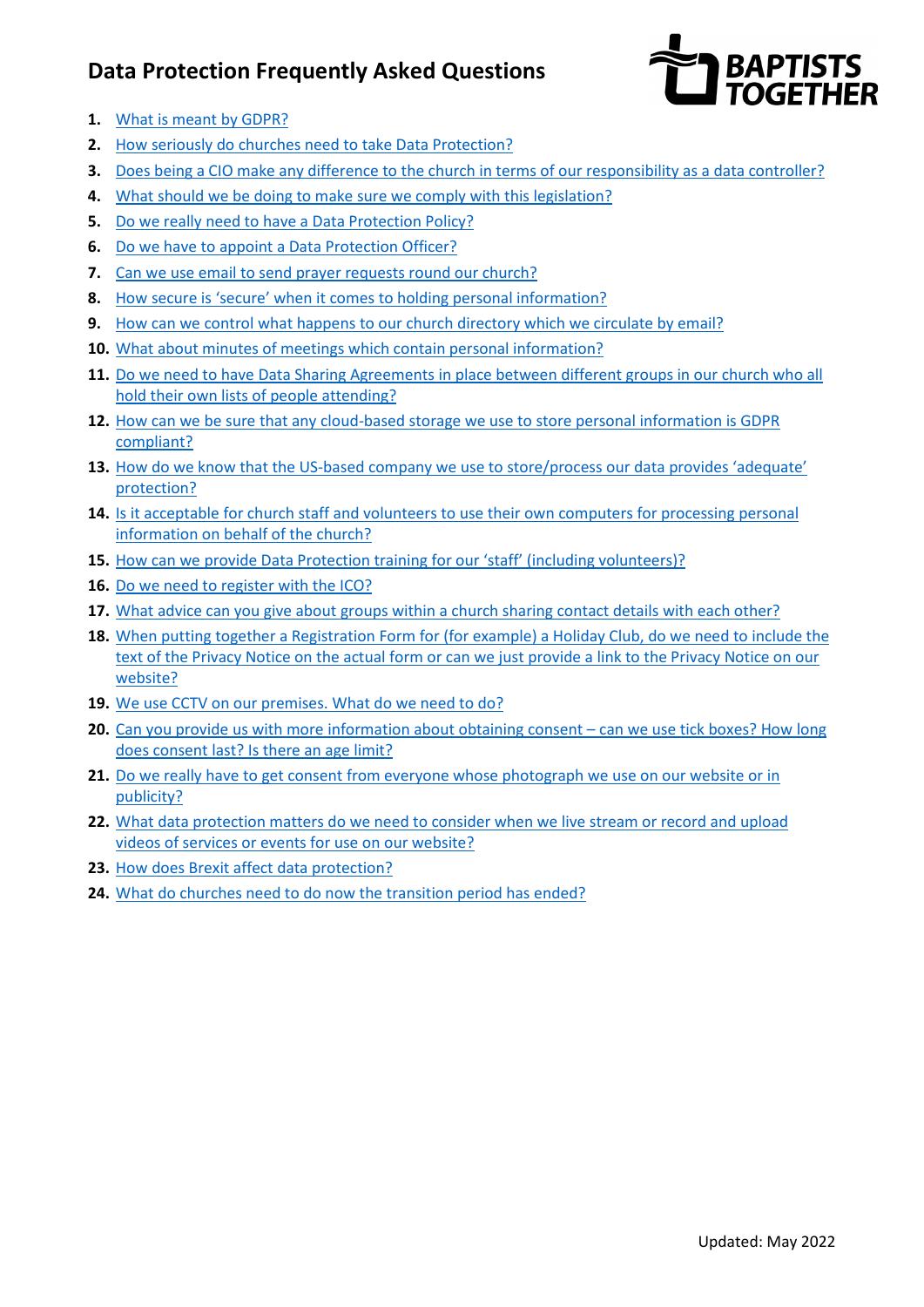# **Data Protection Frequently Asked Questions**



- **1.** [What is meant by GDPR?](#page-1-0)
- **2.** [How seriously do churches need to take Data Protection?](#page-1-1)
- **3.** Does [being a CIO make any difference to the church in terms of our responsibility as a data controller?](#page-1-2)
- **4.** [What should we be doing to make sure we comply with this legislation?](#page-1-3)
- **5.** [Do we really need to have a Data Protection Policy?](#page-1-4)
- **6.** [Do we have to appoint a Data Protection Officer?](#page-1-5)
- **7.** Can we [use email to send prayer requests round our church?](#page-1-6)
- **8.** [How secure is 'secure' when it comes to holding personal information?](#page-2-0)
- **9.** [How can we control what happens to our church directory which we circulate by email?](#page-2-1)
- **10.** [What about minutes of meetings which contain personal information?](#page-2-2)
- **11.** [Do we need to have Data Sharing Agreements in place between different groups in our church who all](#page-2-3)  [hold their own lists of people attending?](#page-2-3)
- 12. How can we be sure that any cloud-based storage we use to store personal information is GDPR [compliant?](#page-3-0)
- **13.** [How do we know that the US-based company we use to store/process our data provides 'adequate'](#page-6-0)  [protection?](#page-6-0)
- **14.** [Is it acceptable for church staff and volunteers to use their own computers for processing personal](#page-3-1)  [information on behalf of the church?](#page-3-1)
- **15.** [How can we provide Data Protection training for our 'staff' \(including volunteers\)?](#page-3-2)
- **16.** [Do we need to register with the ICO?](#page-3-3)
- **17.** [What advice can you give about groups within a church sharing contact details with each other?](#page-4-0)
- **18.** When putting together a Registration [Form for \(for example\) a Holiday Club, do we need to include the](#page-4-1)  [text of the Privacy Notice on the actual form or can we just provide a link to the Privacy Notice on our](#page-4-1)  [website?](#page-4-1)
- **19.** [We use CCTV on our premises. What do we need to do?](#page-4-2)
- **20.** [Can you provide us with more information about obtaining consent can we use tick boxes? How long](#page-4-3)  [does consent last? Is there an age limit?](#page-4-3)
- **21.** [Do we really have to get consent from everyone whose photograph we use on our website or in](#page-5-0)  [publicity?](#page-5-0)
- **22.** [What data protection matters do we need to consider when we live stream or record and upload](#page-5-0)  [videos of services or events for use on our website?](#page-5-0)
- **23.** [How does Brexit affect data protection?](#page-6-0)
- **24.** [What do churches need to do now](#page-6-0) the transition period has ended?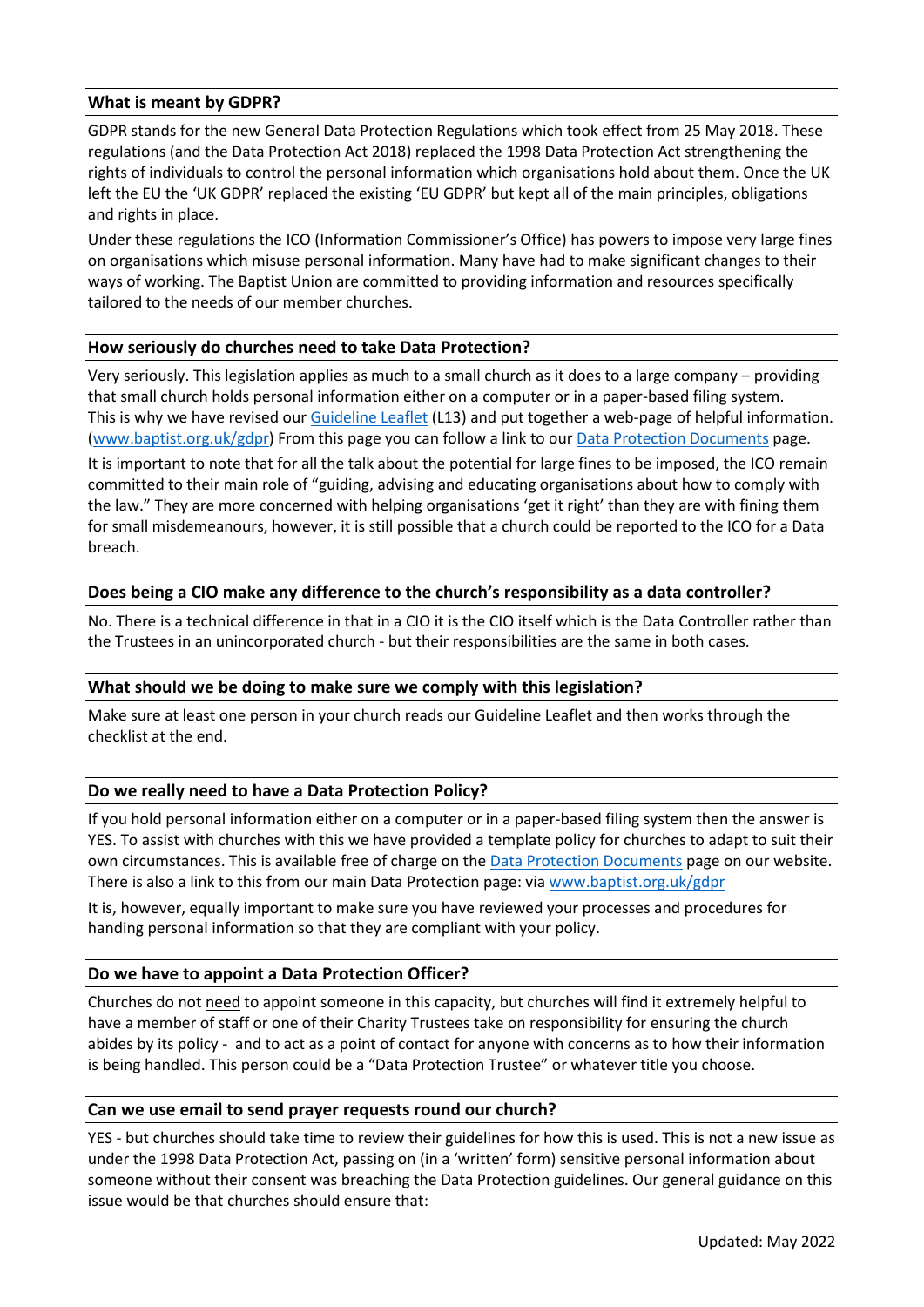### <span id="page-1-0"></span>**What is meant by GDPR?**

GDPR stands for the new General Data Protection Regulations which took effect from 25 May 2018. These regulations (and the Data Protection Act 2018) replaced the 1998 Data Protection Act strengthening the rights of individuals to control the personal information which organisations hold about them. Once the UK left the EU the 'UK GDPR' replaced the existing 'EU GDPR' but kept all of the main principles, obligations and rights in place.

Under these regulations the ICO (Information Commissioner's Office) has powers to impose very large fines on organisations which misuse personal information. Many have had to make significant changes to their ways of working. The Baptist Union are committed to providing information and resources specifically tailored to the needs of our member churches.

#### <span id="page-1-1"></span>**How seriously do churches need to take Data Protection?**

Very seriously. This legislation applies as much to a small church as it does to a large company – providing that small church holds personal information either on a computer or in a paper-based filing system. This is why we have revised our [Guideline Leaflet](https://www.baptist.org.uk/Articles/368695/BUC_Guideline_Leaflet.aspx) (L13) and put together a web-page of helpful information. [\(www.baptist.org.uk/gdpr\)](http://www.baptist.org.uk/gdpr) From this page you can follow a link to ou[r Data Protection Documents](https://www.baptist.org.uk/Groups/304642/Data_protection_documents.aspx) page.

It is important to note that for all the talk about the potential for large fines to be imposed, the ICO remain committed to their main role of "guiding, advising and educating organisations about how to comply with the law." They are more concerned with helping organisations 'get it right' than they are with fining them for small misdemeanours, however, it is still possible that a church could be reported to the ICO for a Data breach.

#### <span id="page-1-2"></span>**Does being a CIO make any difference to the church's responsibility as a data controller?**

No. There is a technical difference in that in a CIO it is the CIO itself which is the Data Controller rather than the Trustees in an unincorporated church - but their responsibilities are the same in both cases.

#### <span id="page-1-3"></span>**What should we be doing to make sure we comply with this legislation?**

Make sure at least one person in your church reads our Guideline Leaflet and then works through the checklist at the end.

#### <span id="page-1-4"></span>**Do we really need to have a Data Protection Policy?**

If you hold personal information either on a computer or in a paper-based filing system then the answer is YES. To assist with churches with this we have provided a template policy for churches to adapt to suit their own circumstances. This is available free of charge on the [Data Protection Documents](https://www.baptist.org.uk/Groups/304642/Data_protection_documents.aspx) page on our website. There is also a link to this from our main Data Protection page: via [www.baptist.org.uk/gdpr](http://www.baptist.org.uk/gdpr) 

It is, however, equally important to make sure you have reviewed your processes and procedures for handing personal information so that they are compliant with your policy.

#### <span id="page-1-5"></span>**Do we have to appoint a Data Protection Officer?**

Churches do not need to appoint someone in this capacity, but churches will find it extremely helpful to have a member of staff or one of their Charity Trustees take on responsibility for ensuring the church abides by its policy - and to act as a point of contact for anyone with concerns as to how their information is being handled. This person could be a "Data Protection Trustee" or whatever title you choose.

#### <span id="page-1-6"></span>**Can we use email to send prayer requests round our church?**

YES - but churches should take time to review their guidelines for how this is used. This is not a new issue as under the 1998 Data Protection Act, passing on (in a 'written' form) sensitive personal information about someone without their consent was breaching the Data Protection guidelines. Our general guidance on this issue would be that churches should ensure that: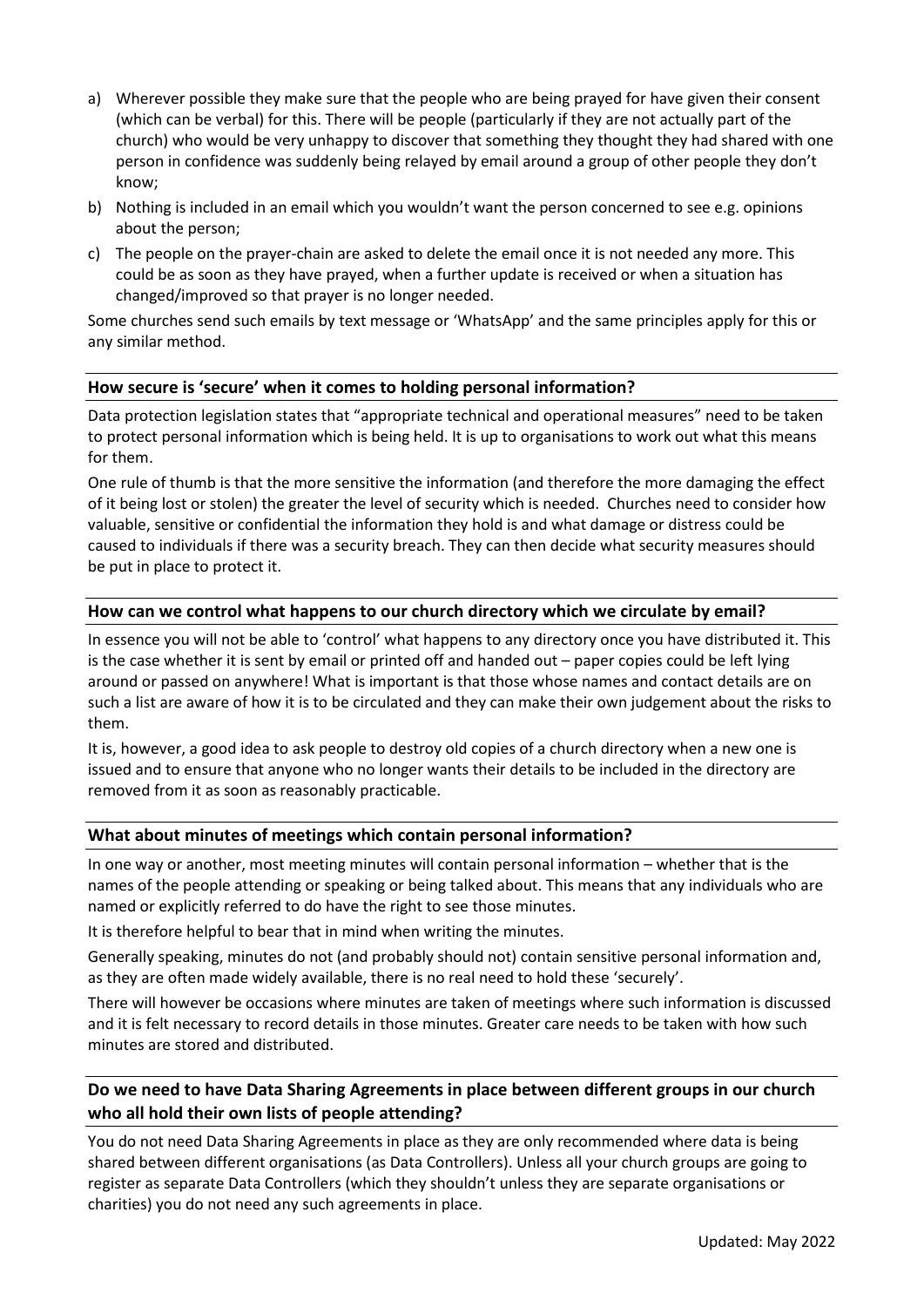- a) Wherever possible they make sure that the people who are being prayed for have given their consent (which can be verbal) for this. There will be people (particularly if they are not actually part of the church) who would be very unhappy to discover that something they thought they had shared with one person in confidence was suddenly being relayed by email around a group of other people they don't know;
- b) Nothing is included in an email which you wouldn't want the person concerned to see e.g. opinions about the person;
- c) The people on the prayer-chain are asked to delete the email once it is not needed any more. This could be as soon as they have prayed, when a further update is received or when a situation has changed/improved so that prayer is no longer needed.

Some churches send such emails by text message or 'WhatsApp' and the same principles apply for this or any similar method.

### <span id="page-2-0"></span>**How secure is 'secure' when it comes to holding personal information?**

Data protection legislation states that "appropriate technical and operational measures" need to be taken to protect personal information which is being held. It is up to organisations to work out what this means for them.

One rule of thumb is that the more sensitive the information (and therefore the more damaging the effect of it being lost or stolen) the greater the level of security which is needed. Churches need to consider how valuable, sensitive or confidential the information they hold is and what damage or distress could be caused to individuals if there was a security breach. They can then decide what security measures should be put in place to protect it.

### <span id="page-2-1"></span>**How can we control what happens to our church directory which we circulate by email?**

In essence you will not be able to 'control' what happens to any directory once you have distributed it. This is the case whether it is sent by email or printed off and handed out – paper copies could be left lying around or passed on anywhere! What is important is that those whose names and contact details are on such a list are aware of how it is to be circulated and they can make their own judgement about the risks to them.

It is, however, a good idea to ask people to destroy old copies of a church directory when a new one is issued and to ensure that anyone who no longer wants their details to be included in the directory are removed from it as soon as reasonably practicable.

### <span id="page-2-2"></span>**What about minutes of meetings which contain personal information?**

In one way or another, most meeting minutes will contain personal information – whether that is the names of the people attending or speaking or being talked about. This means that any individuals who are named or explicitly referred to do have the right to see those minutes.

It is therefore helpful to bear that in mind when writing the minutes.

Generally speaking, minutes do not (and probably should not) contain sensitive personal information and, as they are often made widely available, there is no real need to hold these 'securely'.

There will however be occasions where minutes are taken of meetings where such information is discussed and it is felt necessary to record details in those minutes. Greater care needs to be taken with how such minutes are stored and distributed.

# <span id="page-2-3"></span>**Do we need to have Data Sharing Agreements in place between different groups in our church who all hold their own lists of people attending?**

You do not need Data Sharing Agreements in place as they are only recommended where data is being shared between different organisations (as Data Controllers). Unless all your church groups are going to register as separate Data Controllers (which they shouldn't unless they are separate organisations or charities) you do not need any such agreements in place.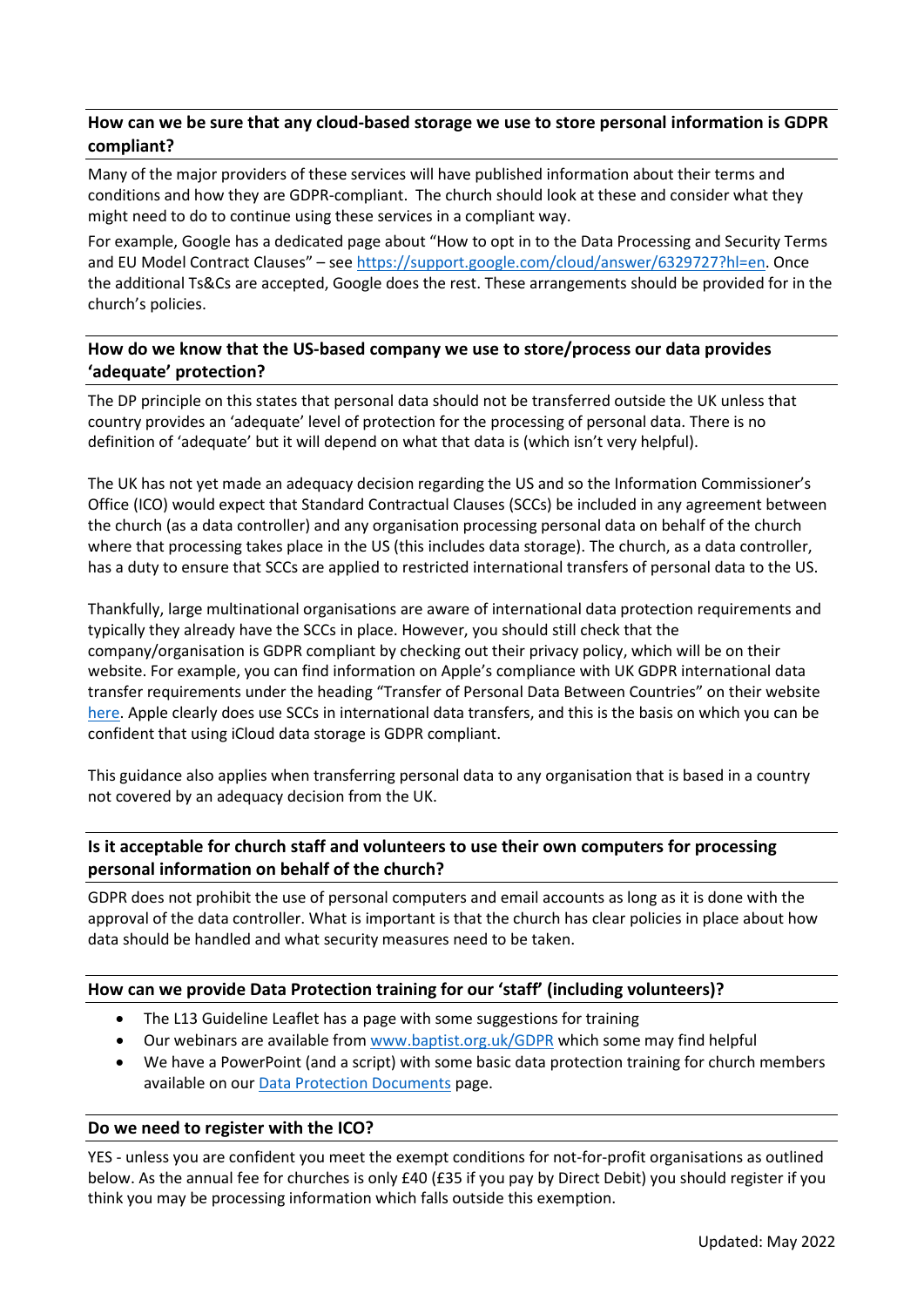## <span id="page-3-0"></span>**How can we be sure that any cloud-based storage we use to store personal information is GDPR compliant?**

Many of the major providers of these services will have published information about their terms and conditions and how they are GDPR-compliant. The church should look at these and consider what they might need to do to continue using these services in a compliant way.

For example, Google has a dedicated page about "How to opt in to the Data Processing and Security Terms and EU Model Contract Clauses" – see [https://support.google.com/cloud/answer/6329727?hl=en.](https://support.google.com/cloud/answer/6329727?hl=en) Once the additional Ts&Cs are accepted, Google does the rest. These arrangements should be provided for in the church's policies.

# **How do we know that the US-based company we use to store/process our data provides 'adequate' protection?**

The DP principle on this states that personal data should not be transferred outside the UK unless that country provides an 'adequate' level of protection for the processing of personal data. There is no definition of 'adequate' but it will depend on what that data is (which isn't very helpful).

The UK has not yet made an adequacy decision regarding the US and so the Information Commissioner's Office (ICO) would expect that Standard Contractual Clauses (SCCs) be included in any agreement between the church (as a data controller) and any organisation processing personal data on behalf of the church where that processing takes place in the US (this includes data storage). The church, as a data controller, has a duty to ensure that SCCs are applied to restricted international transfers of personal data to the US.

Thankfully, large multinational organisations are aware of international data protection requirements and typically they already have the SCCs in place. However, you should still check that the company/organisation is GDPR compliant by checking out their privacy policy, which will be on their website. For example, you can find information on Apple's compliance with UK GDPR international data transfer requirements under the heading "Transfer of Personal Data Between Countries" on their website [here.](https://www.apple.com/uk/legal/privacy/en-ww/) Apple clearly does use SCCs in international data transfers, and this is the basis on which you can be confident that using iCloud data storage is GDPR compliant.

This guidance also applies when transferring personal data to any organisation that is based in a country not covered by an adequacy decision from the UK.

# <span id="page-3-1"></span>**Is it acceptable for church staff and volunteers to use their own computers for processing personal information on behalf of the church?**

GDPR does not prohibit the use of personal computers and email accounts as long as it is done with the approval of the data controller. What is important is that the church has clear policies in place about how data should be handled and what security measures need to be taken.

### <span id="page-3-2"></span>**How can we provide Data Protection training for our 'staff' (including volunteers)?**

- The L13 Guideline Leaflet has a page with some suggestions for training
- Our webinars are available from [www.baptist.org.uk/GDPR](http://www.baptist.org.uk/GDPR) which some may find helpful
- We have a PowerPoint (and a script) with some basic data protection training for church members available on our [Data Protection Documents](https://www.baptist.org.uk/Groups/304642/Data_protection_documents.aspx) page.

#### <span id="page-3-3"></span>**Do we need to register with the ICO?**

YES - unless you are confident you meet the exempt conditions for not-for-profit organisations as outlined below. As the annual fee for churches is only £40 (£35 if you pay by Direct Debit) you should register if you think you may be processing information which falls outside this exemption.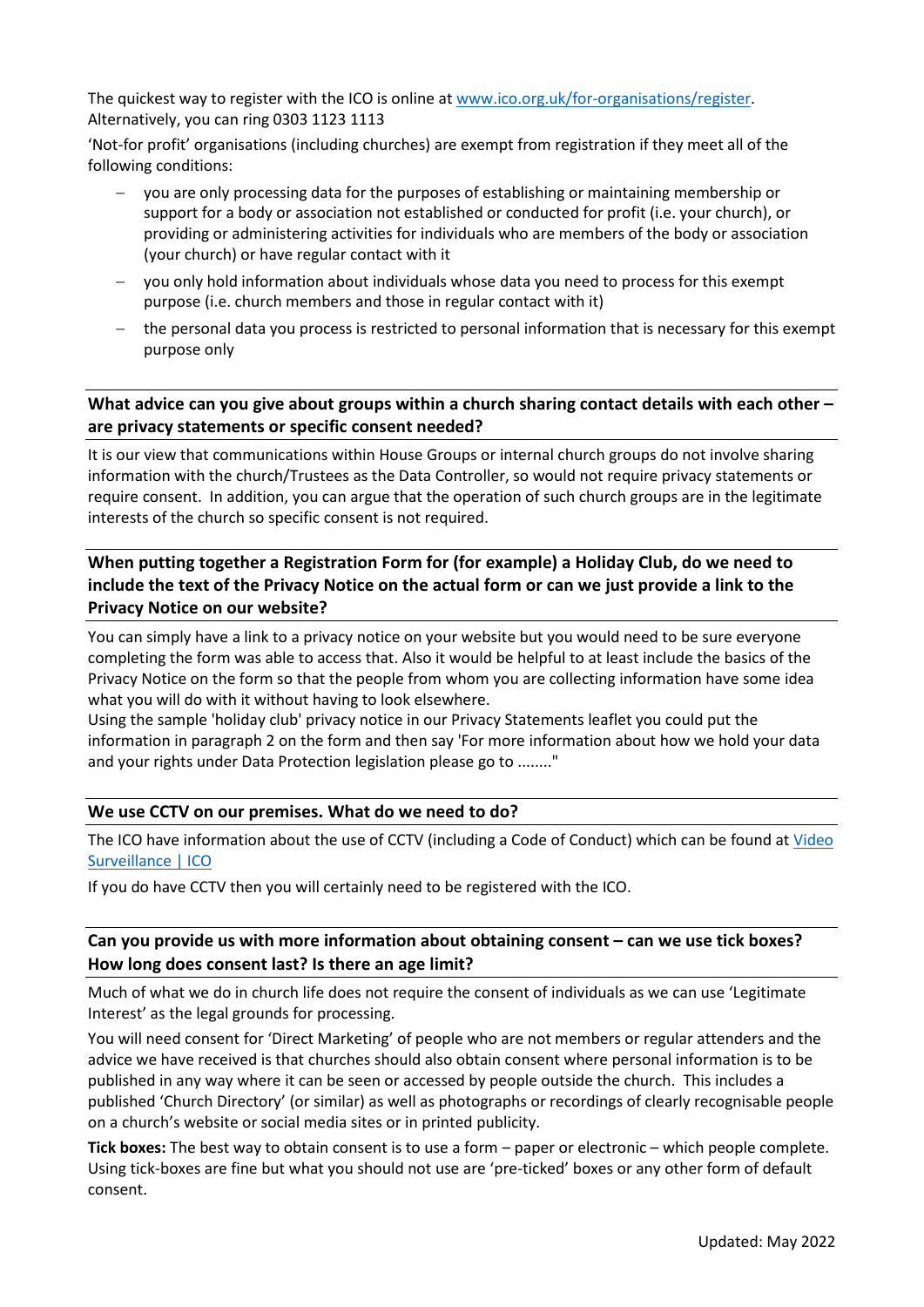The quickest way to register with the ICO is online at [www.ico.org.uk/for-organisations/register.](http://www.ico.org.uk/for-organisations/register) Alternatively, you can ring 0303 1123 1113

'Not-for profit' organisations (including churches) are exempt from registration if they meet all of the following conditions:

- you are only processing data for the purposes of establishing or maintaining membership or support for a body or association not established or conducted for profit (i.e. your church), or providing or administering activities for individuals who are members of the body or association (your church) or have regular contact with it
- − you only hold information about individuals whose data you need to process for this exempt purpose (i.e. church members and those in regular contact with it)
- − the personal data you process is restricted to personal information that is necessary for this exempt purpose only

# <span id="page-4-0"></span>**What advice can you give about groups within a church sharing contact details with each other – are privacy statements or specific consent needed?**

It is our view that communications within House Groups or internal church groups do not involve sharing information with the church/Trustees as the Data Controller, so would not require privacy statements or require consent. In addition, you can argue that the operation of such church groups are in the legitimate interests of the church so specific consent is not required.

# <span id="page-4-1"></span>**When putting together a Registration Form for (for example) a Holiday Club, do we need to include the text of the Privacy Notice on the actual form or can we just provide a link to the Privacy Notice on our website?**

You can simply have a link to a privacy notice on your website but you would need to be sure everyone completing the form was able to access that. Also it would be helpful to at least include the basics of the Privacy Notice on the form so that the people from whom you are collecting information have some idea what you will do with it without having to look elsewhere.

Using the sample 'holiday club' privacy notice in our Privacy Statements leaflet you could put the information in paragraph 2 on the form and then say 'For more information about how we hold your data and your rights under Data Protection legislation please go to ........"

### <span id="page-4-2"></span>**We use CCTV on our premises. What do we need to do?**

The ICO have information about the use of CCTV (including a Code of Conduct) which can be found at [Video](https://ico.org.uk/for-organisations/guide-to-data-protection/key-dp-themes/video-surveillance/)  [Surveillance | ICO](https://ico.org.uk/for-organisations/guide-to-data-protection/key-dp-themes/video-surveillance/)

If you do have CCTV then you will certainly need to be registered with the ICO.

## <span id="page-4-3"></span>**Can you provide us with more information about obtaining consent – can we use tick boxes? How long does consent last? Is there an age limit?**

Much of what we do in church life does not require the consent of individuals as we can use 'Legitimate Interest' as the legal grounds for processing.

You will need consent for 'Direct Marketing' of people who are not members or regular attenders and the advice we have received is that churches should also obtain consent where personal information is to be published in any way where it can be seen or accessed by people outside the church. This includes a published 'Church Directory' (or similar) as well as photographs or recordings of clearly recognisable people on a church's website or social media sites or in printed publicity.

**Tick boxes:** The best way to obtain consent is to use a form – paper or electronic – which people complete. Using tick-boxes are fine but what you should not use are 'pre-ticked' boxes or any other form of default consent.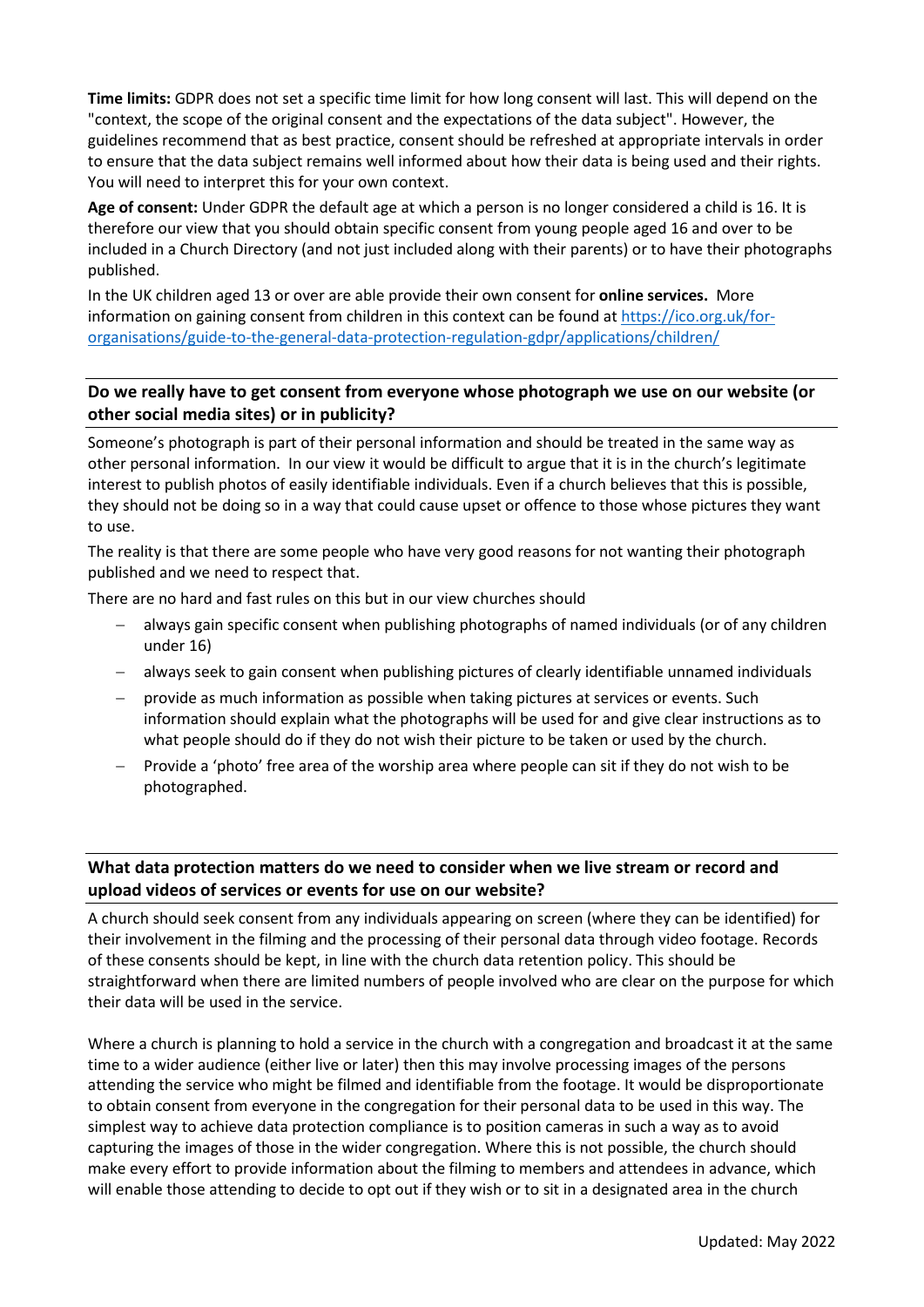**Time limits:** GDPR does not set a specific time limit for how long consent will last. This will depend on the "context, the scope of the original consent and the expectations of the data subject". However, the guidelines recommend that as best practice, consent should be refreshed at appropriate intervals in order to ensure that the data subject remains well informed about how their data is being used and their rights. You will need to interpret this for your own context.

**Age of consent:** Under GDPR the default age at which a person is no longer considered a child is 16. It is therefore our view that you should obtain specific consent from young people aged 16 and over to be included in a Church Directory (and not just included along with their parents) or to have their photographs published.

In the UK children aged 13 or over are able provide their own consent for **online services.** More information on gaining consent from children in this context can be found at [https://ico.org.uk/for](https://ico.org.uk/for-organisations/guide-to-the-general-data-protection-regulation-gdpr/applications/children/)[organisations/guide-to-the-general-data-protection-regulation-gdpr/applications/children/](https://ico.org.uk/for-organisations/guide-to-the-general-data-protection-regulation-gdpr/applications/children/)

# <span id="page-5-0"></span>**Do we really have to get consent from everyone whose photograph we use on our website (or other social media sites) or in publicity?**

Someone's photograph is part of their personal information and should be treated in the same way as other personal information. In our view it would be difficult to argue that it is in the church's legitimate interest to publish photos of easily identifiable individuals. Even if a church believes that this is possible, they should not be doing so in a way that could cause upset or offence to those whose pictures they want to use.

The reality is that there are some people who have very good reasons for not wanting their photograph published and we need to respect that.

There are no hard and fast rules on this but in our view churches should

- always gain specific consent when publishing photographs of named individuals (or of any children under 16)
- − always seek to gain consent when publishing pictures of clearly identifiable unnamed individuals
- provide as much information as possible when taking pictures at services or events. Such information should explain what the photographs will be used for and give clear instructions as to what people should do if they do not wish their picture to be taken or used by the church.
- Provide a 'photo' free area of the worship area where people can sit if they do not wish to be photographed.

# **What data protection matters do we need to consider when we live stream or record and upload videos of services or events for use on our website?**

A church should seek consent from any individuals appearing on screen (where they can be identified) for their involvement in the filming and the processing of their personal data through video footage. Records of these consents should be kept, in line with the church data retention policy. This should be straightforward when there are limited numbers of people involved who are clear on the purpose for which their data will be used in the service.

Where a church is planning to hold a service in the church with a congregation and broadcast it at the same time to a wider audience (either live or later) then this may involve processing images of the persons attending the service who might be filmed and identifiable from the footage. It would be disproportionate to obtain consent from everyone in the congregation for their personal data to be used in this way. The simplest way to achieve data protection compliance is to position cameras in such a way as to avoid capturing the images of those in the wider congregation. Where this is not possible, the church should make every effort to provide information about the filming to members and attendees in advance, which will enable those attending to decide to opt out if they wish or to sit in a designated area in the church